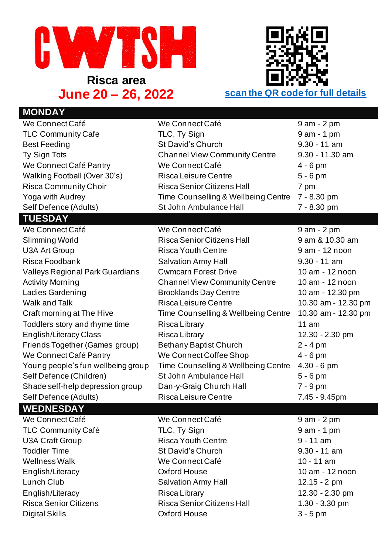

**Risca area**



## **MONDAY** We Connect Café We Connect Café 9 am - 2 pm TLC Community Cafe TLC, Ty Sign 1 am - 1 pm Best Feeding St David's Church 9.30 - 11 am Ty Sign Tots Channel View Community Centre 9.30 - 11.30 am We Connect Café Pantry We Connect Café 4 - 6 pm Walking Football (Over 30's) Risca Leisure Centre 5 - 6 pm Risca Community Choir Risca Senior Citizens Hall 7 pm Yoga with Audrey Time Counselling & Wellbeing Centre 7 - 8.30 pm Self Defence (Adults) St John Ambulance Hall 7 - 8.30 pm **TUESDAY** We Connect Café We Connect Café 9 am - 2 pm Slimming World **Risca Senior Citizens Hall** 9 am & 10.30 am U3A Art Group **Risca Youth Centre** 9 am - 12 noon Risca Foodbank Salvation Army Hall 9.30 - 11 am Valleys Regional Park Guardians Cwmcarn Forest Drive 10 am - 12 noon Activity Morning **Channel View Community Centre** 10 am - 12 noon Ladies Gardening **Brooklands Day Centre** 10 am - 12.30 pm Walk and Talk **Risca Leisure Centre** 10.30 am - 12.30 pm Craft morning at The Hive Time Counselling & Wellbeing Centre 10.30 am - 12.30 pm Toddlers story and rhyme time Risca Library 11 am English/Literacy Class Risca Library Research 12.30 - 2.30 pm Friends Together (Games group) Bethany Baptist Church 2 - 4 pm We Connect Café Pantry We Connect Coffee Shop 4 - 6 pm Young people's fun wellbeing group Time Counselling & Wellbeing Centre 4.30 - 6 pm Self Defence (Children) St John Ambulance Hall 5 - 6 pm Shade self-help depression group Dan-y-Graig Church Hall 7 - 9 pm Self Defence (Adults) Risca Leisure Centre 7.45 - 9.45pm **WEDNESDAY** We Connect Café We Connect Café 9 am - 2 pm TLC Community Café TLC, Ty Sign 1 am - 1 pm U3A Craft Group **Risca Youth Centre** 9 - 11 am Toddler Time St David's Church 9.30 - 11 am Wellness Walk **We Connect Café** 10 - 11 am English/Literacy Oxford House 10 am - 12 noon Lunch Club **Salvation Army Hall** 12.15 - 2 pm English/Literacy Risca Library Risca Library 12.30 - 2.30 pm Risca Senior Citizens **Risca Senior Citizens Hall** 1.30 - 3.30 pm Digital Skills Oxford House 3 - 5 pm